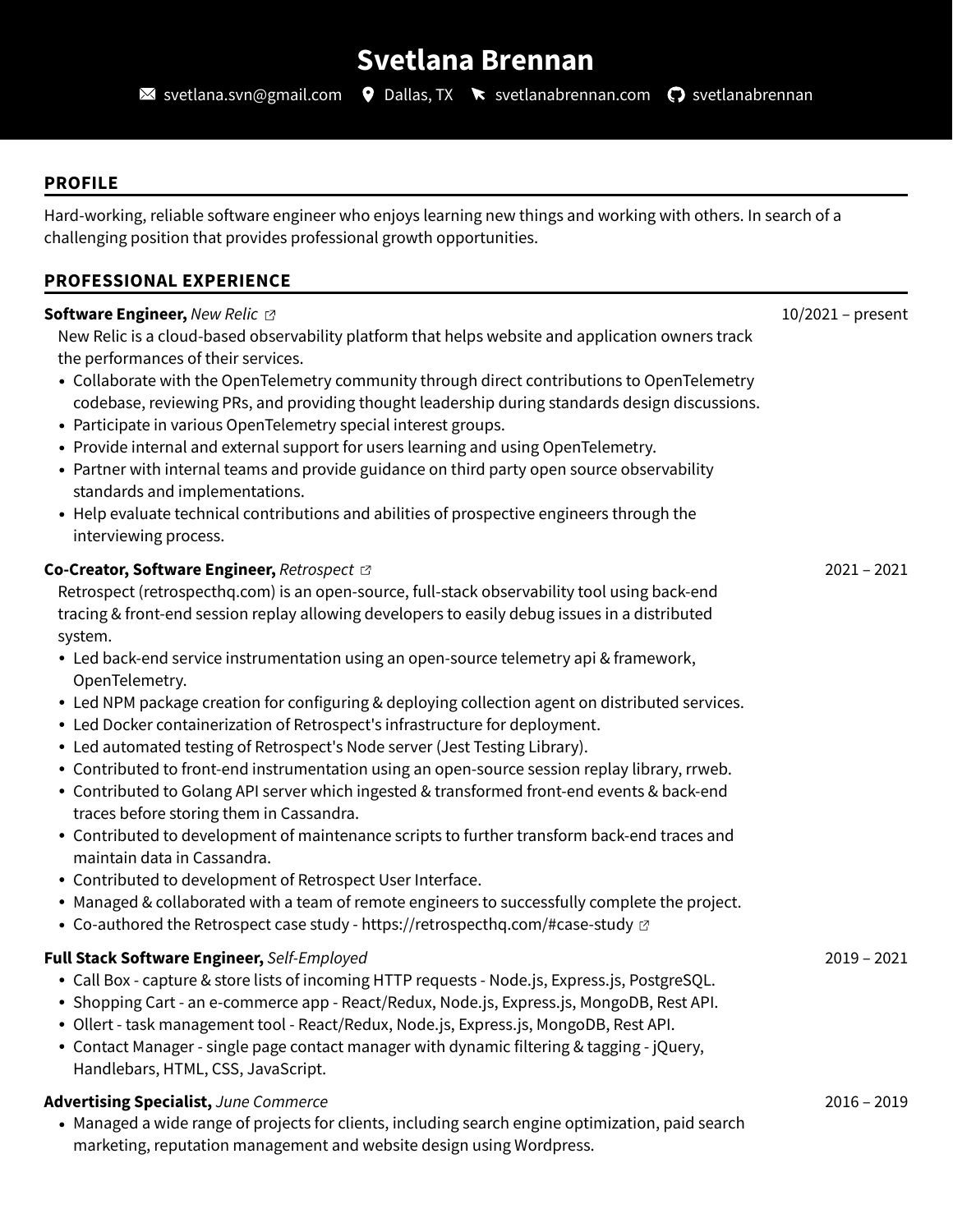# **Svetlana Brennan**

 $\boxtimes$  [svetlana.svn@gmail.com](mailto:svetlana.svn@gmail.com)  $\bigcirc$  Dallas, TX  $\bigstar$  [svetlanabrennan.com](https://svetlanabrennan.com/)  $\bigcirc$  [svetlanabrennan](https://github.com/svetlanabrennan)

## **PROFILE**

Hard-working, reliable software engineer who enjoys learning new things and working with others. In search of a challenging position that provides professional growth opportunities.

#### **PROFESSIONAL EXPERIENCE**

#### **Software [Engineer,](https://newrelic.com/)** *New Relic* New Relic is a cloud-based observability platform that helps website and application owners track the performances of their services. Collaborate with the OpenTelemetry community through direct contributions to OpenTelemetry codebase, reviewing PRs, and providing thought leadership during standards design discussions. Participate in various OpenTelemetry special interest groups. Provide internal and external support for users learning and using OpenTelemetry. Partner with internal teams and provide guidance on third party open source observability standards and implementations. Help evaluate technical contributions and abilities of prospective engineers through the interviewing process. 10/2021 – present **[Co-Creator,](https://retrospecthq.com/) Software Engineer,** *Retrospect* Retrospect (retrospecthq.com) is an open-source, full-stack observability tool using back-end tracing & front-end session replay allowing developers to easily debug issues in a distributed system. Led back-end service instrumentation using an open-source telemetry api & framework, OpenTelemetry. Led NPM package creation for configuring & deploying collection agent on distributed services. Led Docker containerization of Retrospect's infrastructure for deployment. Led automated testing of Retrospect's Node server (Jest Testing Library). Contributed to front-end instrumentation using an open-source session replay library, rrweb. Contributed to Golang API server which ingested & transformed front-end events & back-end traces before storing them in Cassandra. Contributed to development of maintenance scripts to further transform back-end traces and maintain data in Cassandra. Contributed to development of Retrospect User Interface. Managed & collaborated with a team of remote engineers to successfully complete the project. • Co-authored the Retrospect case study - <https://retrospecthq.com/#case-study>  $\varnothing$ 2021 – 2021 **Full Stack Software Engineer,** *Self-Employed* Call Box - capture & store lists of incoming HTTP requests - Node.js, Express.js, PostgreSQL. • Shopping Cart - an e-commerce app - React/Redux, Node.js, Express.js, MongoDB, Rest API. Ollert - task management tool - React/Redux, Node.js, Express.js, MongoDB, Rest API. Contact Manager - single page contact manager with dynamic filtering & tagging - jQuery, Handlebars, HTML, CSS, JavaScript. 2019 – 2021 **Advertising Specialist,** *June Commerce* 2016 – 2019

Managed a wide range of projects for clients, including search engine optimization, paid search marketing, reputation management and website design using Wordpress.